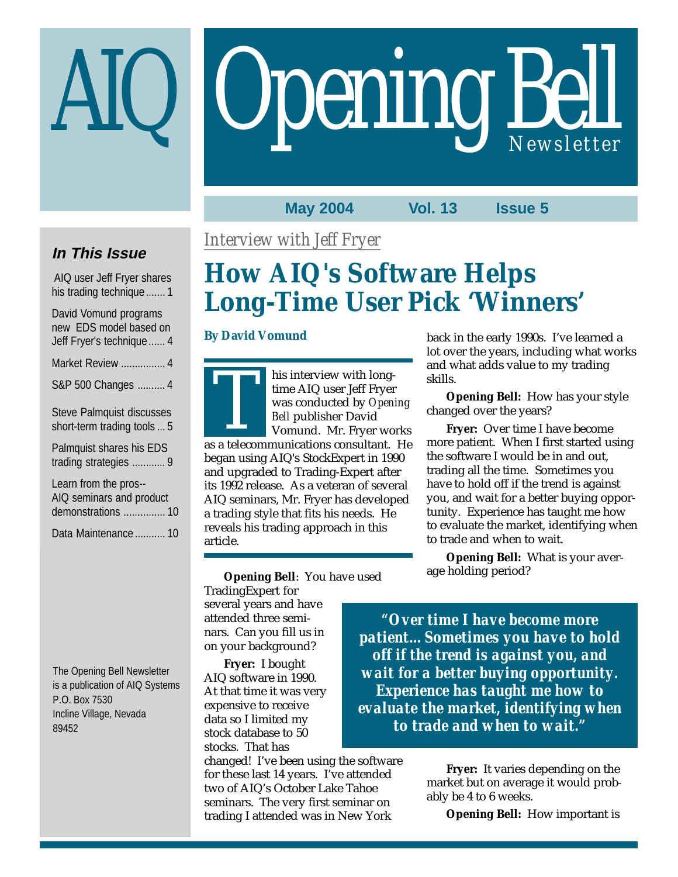# **Opening Bell**

#### **May 2004 Vol. 13 Issue 5**

## **In This Issue**

 AIQ user Jeff Fryer shares his trading technique....... 1

| David Vomund programs<br>new EDS model based on<br>Jeff Fryer's technique  4 |
|------------------------------------------------------------------------------|
| Market Review  4                                                             |
| S&P 500 Changes  4                                                           |
| <b>Steve Palmquist discusses</b><br>short-term trading tools  5              |
| Palmquist shares his EDS<br>trading strategies  9                            |
| Learn from the pros--<br>AIQ seminars and product<br>demonstrations  10      |

Data Maintenance ........... 10

The Opening Bell Newsletter is a publication of AIQ Systems P.O. Box 7530 Incline Village, Nevada 89452

*Interview with Jeff Fryer*

# **How AIQ's Software Helps Long-Time User Pick 'Winners'**

#### **By David Vomund**

his interview with longtime AIQ user Jeff Fryer was conducted by *Opening Bell* publisher David Vomund. Mr. Fryer works time AIQ user Jeff Fryer<br>was conducted by *Opening*<br>Bell publisher David<br>Vomund. Mr. Fryer works<br>as a telecommunications consultant. He

began using AIQ's StockExpert in 1990 and upgraded to Trading-Expert after its 1992 release. As a veteran of several AIQ seminars, Mr. Fryer has developed a trading style that fits his needs. He reveals his trading approach in this article.

back in the early 1990s. I've learned a lot over the years, including what works and what adds value to my trading skills.

**Opening Bell:** How has your style changed over the years?

**Fryer:** Over time I have become more patient. When I first started using the software I would be in and out, trading all the time. Sometimes you have to hold off if the trend is against you, and wait for a better buying opportunity. Experience has taught me how to evaluate the market, identifying when to trade and when to wait.

**Opening Bell:** What is your average holding period?

**Opening Bell**: You have used TradingExpert for several years and have attended three seminars. Can you fill us in on your background?

**Fryer:** I bought AIQ software in 1990. At that time it was very expensive to receive data so I limited my stock database to 50 stocks. That has

changed! I've been using the software for these last 14 years. I've attended two of AIQ's October Lake Tahoe seminars. The very first seminar on trading I attended was in New York

*"Over time I have become more patient…Sometimes you have to hold off if the trend is against you, and wait for a better buying opportunity. Experience has taught me how to evaluate the market, identifying when to trade and when to wait."*

> **Fryer:** It varies depending on the market but on average it would probably be 4 to 6 weeks.

> > **Opening Bell:** How important is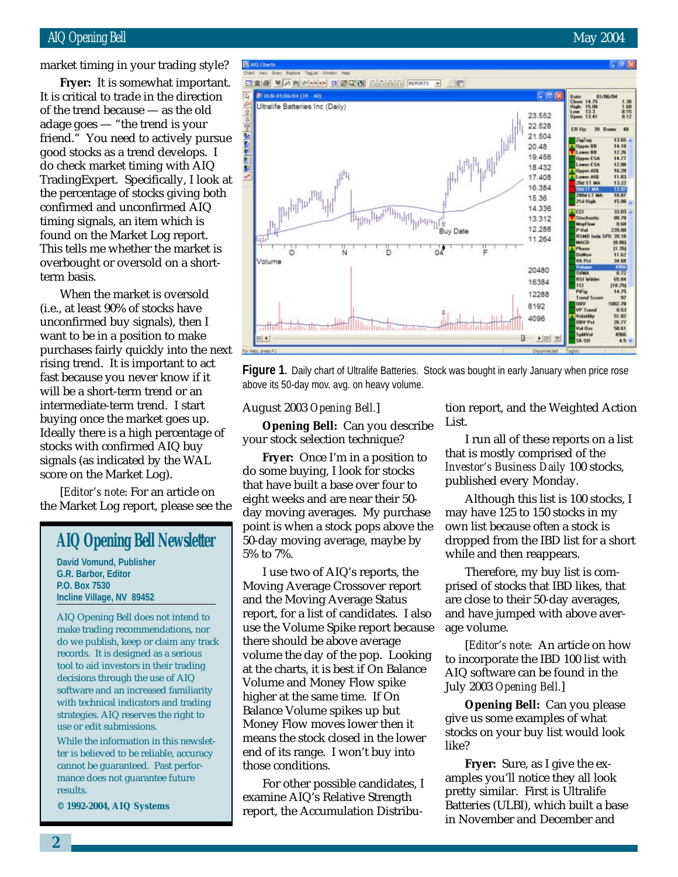#### AIQ Opening Bell May 2004

market timing in your trading style?

of the trend because — as the old **Fryer:** It is somewhat important. It is critical to trade in the direction adage goes — "the trend is your friend." You need to actively pursue good stocks as a trend develops. I do check market timing with AIQ TradingExpert. Specifically, I look at the percentage of stocks giving both confirmed and unconfirmed AIQ timing signals, an item which is found on the Market Log report. This tells me whether the market is overbought or oversold on a shortterm basis.

When the market is oversold (i.e., at least 90% of stocks have unconfirmed buy signals), then I want to be in a position to make purchases fairly quickly into the next rising trend. It is important to act fast because you never know if it will be a short-term trend or an intermediate-term trend. I start buying once the market goes up. Ideally there is a high percentage of stocks with confirmed AIQ buy signals (as indicated by the WAL score on the Market Log).

[*Editor's note*: For an article on the Market Log report, please see the

## **AIQ Opening Bell Newsletter**

**David Vomund, Publisher G.R. Barbor, Editor P.O. Box 7530 Incline Village, NV 89452**

AIQ Opening Bell does not intend to make trading recommendations, nor do we publish, keep or claim any track records. It is designed as a serious tool to aid investors in their trading decisions through the use of AIQ software and an increased familiarity with technical indicators and trading strategies. AIQ reserves the right to use or edit submissions.

While the information in this newsletter is believed to be reliable, accuracy cannot be guaranteed. Past performance does not guarantee future results.

**© 1992-2004, AIQ Systems**



Figure 1. Daily chart of Ultralife Batteries. Stock was bought in early January when price rose above its 50-day mov. avg. on heavy volume.

#### August 2003 *Opening Bell.*]

**Opening Bell:** Can you describe your stock selection technique?

**Fryer:** Once I'm in a position to do some buying, I look for stocks that have built a base over four to eight weeks and are near their 50 day moving averages. My purchase point is when a stock pops above the 50-day moving average, maybe by 5% to 7%.

I use two of AIQ's reports, the Moving Average Crossover report and the Moving Average Status report, for a list of candidates. I also use the Volume Spike report because there should be above average volume the day of the pop. Looking at the charts, it is best if On Balance Volume and Money Flow spike higher at the same time. If On Balance Volume spikes up but Money Flow moves lower then it means the stock closed in the lower end of its range. I won't buy into those conditions.

For other possible candidates, I examine AIQ's Relative Strength report, the Accumulation Distribu-

tion report, and the Weighted Action List.

I run all of these reports on a list that is mostly comprised of the *Investor's Business Daily* 100 stocks, published every Monday.

Although this list is 100 stocks, I may have 125 to 150 stocks in my own list because often a stock is dropped from the IBD list for a short while and then reappears.

Therefore, my buy list is comprised of stocks that IBD likes, that are close to their 50-day averages, and have jumped with above average volume.

[*Editor's note:* An article on how to incorporate the IBD 100 list with AIQ software can be found in the July 2003 *Opening Bell.*]

**Opening Bell:** Can you please give us some examples of what stocks on your buy list would look like?

**Fryer:** Sure, as I give the examples you'll notice they all look pretty similar. First is Ultralife Batteries (ULBI), which built a base in November and December and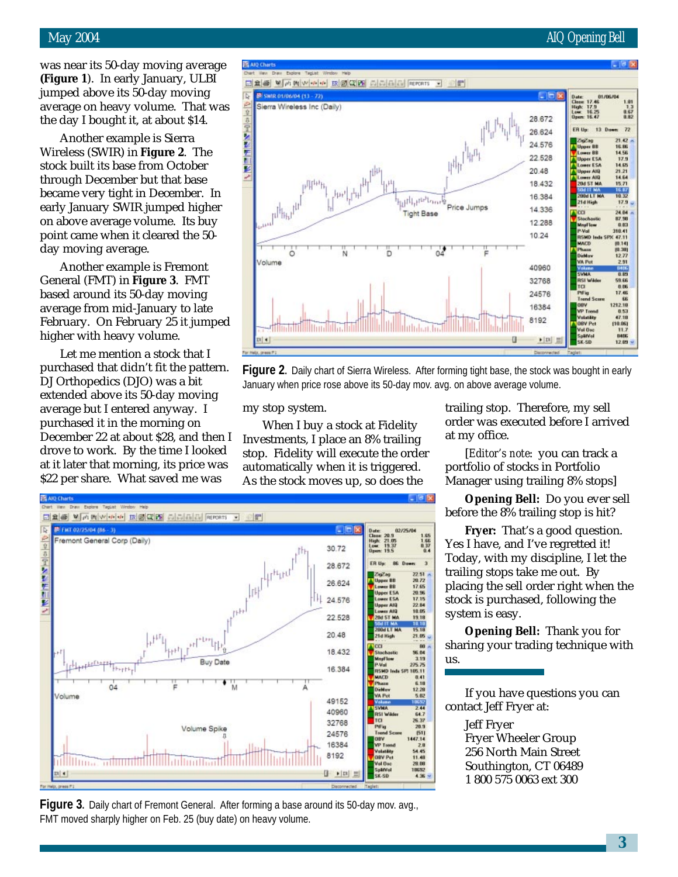#### May 2004 **AIQ** Opening Bell

was near its 50-day moving average **(Figure 1**). In early January, ULBI jumped above its 50-day moving average on heavy volume. That was the day I bought it, at about \$14.

Another example is Sierra Wireless (SWIR) in **Figure 2**. The stock built its base from October through December but that base became very tight in December. In early January SWIR jumped higher on above average volume. Its buy point came when it cleared the 50 day moving average.

Another example is Fremont General (FMT) in **Figure 3**. FMT based around its 50-day moving average from mid-January to late February. On February 25 it jumped higher with heavy volume.

Let me mention a stock that I purchased that didn't fit the pattern. DJ Orthopedics (DJO) was a bit extended above its 50-day moving average but I entered anyway. I purchased it in the morning on December 22 at about \$28, and then I drove to work. By the time I looked at it later that morning, its price was \$22 per share. What saved me was



**Figure 2.** Daily chart of Sierra Wireless. After forming tight base, the stock was bought in early January when price rose above its 50-day mov. avg. on above average volume.

my stop system.

When I buy a stock at Fidelity Investments, I place an 8% trailing stop. Fidelity will execute the order automatically when it is triggered. As the stock moves up, so does the

trailing stop. Therefore, my sell order was executed before I arrived at my office.

[*Editor's note*: you can track a portfolio of stocks in Portfolio Manager using trailing 8% stops]

**Opening Bell:** Do you ever sell before the 8% trailing stop is hit?

**Fryer:** That's a good question. Yes I have, and I've regretted it! Today, with my discipline, I let the trailing stops take me out. By placing the sell order right when the stock is purchased, following the system is easy.

**Opening Bell:** Thank you for sharing your trading technique with us.

If you have questions you can contact Jeff Fryer at:

> Jeff Fryer Fryer Wheeler Group 256 North Main Street Southington, CT 06489 1 800 575 0063 ext 300



**Figure 3.** Daily chart of Fremont General. After forming a base around its 50-day mov. avg., FMT moved sharply higher on Feb. 25 (buy date) on heavy volume.

**3**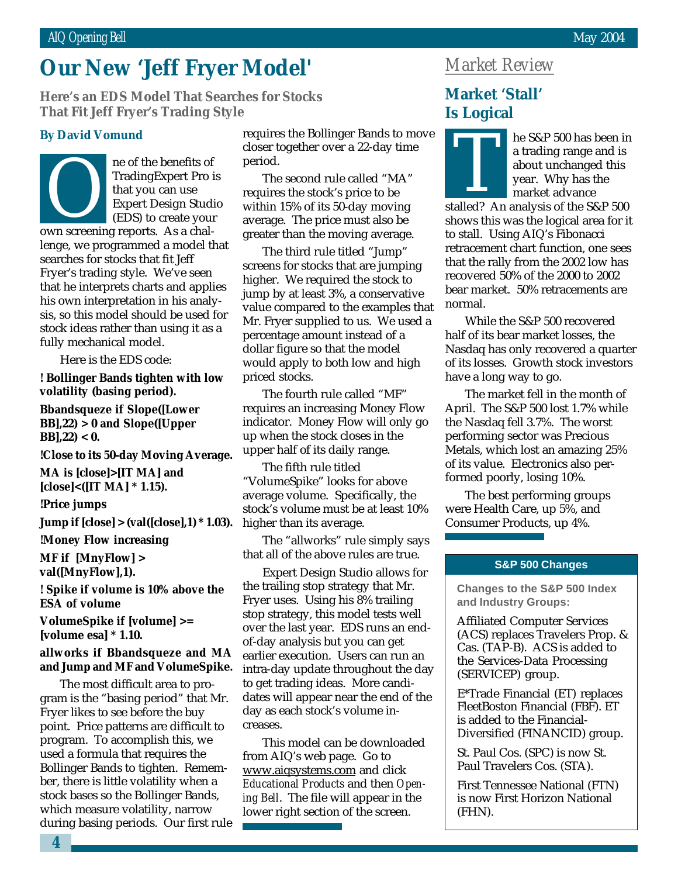## **Our New 'Jeff Fryer Model'**

March 2002 **That Fit Jeff Fryer's Trading Style Here's an EDS Model That Searches for Stocks**

ne of the benefits of TradingExpert Pro is that you can use Expert Design Studio (EDS) to create your TradingExpert Pro is<br>
that you can use<br>
Expert Design Studi<br>
(EDS) to create your<br>
own screening reports. As a challenge, we programmed a model that searches for stocks that fit Jeff Fryer's trading style. We've seen that he interprets charts and applies his own interpretation in his analysis, so this model should be used for stock ideas rather than using it as a fully mechanical model.

Here is the EDS code:

**! Bollinger Bands tighten with low volatility (basing period).**

**Bbandsqueze if Slope([Lower BB],22) > 0 and Slope([Upper BB],22) < 0.**

**!Close to its 50-day Moving Average.**

**MA is [close]>[IT MA] and [close]<([IT MA] \* 1.15).**

**!Price jumps**

**Jump if [close] > (val([close],1) \* 1.03).**

**!Money Flow increasing**

**MF if [MnyFlow] > val([MnyFlow],1).**

**! Spike if volume is 10% above the ESA of volume**

**VolumeSpike if [volume] >= [volume esa] \* 1.10.**

#### **allworks if Bbandsqueze and MA and Jump and MF and VolumeSpike.**

The most difficult area to program is the "basing period" that Mr. Fryer likes to see before the buy point. Price patterns are difficult to program. To accomplish this, we used a formula that requires the Bollinger Bands to tighten. Remember, there is little volatility when a stock bases so the Bollinger Bands, which measure volatility, narrow during basing periods. Our first rule

**By David Vomund** requires the Bollinger Bands to move closer together over a 22-day time period.

> The second rule called "MA" requires the stock's price to be within 15% of its 50-day moving average. The price must also be greater than the moving average.

The third rule titled "Jump" screens for stocks that are jumping higher. We required the stock to jump by at least 3%, a conservative value compared to the examples that Mr. Fryer supplied to us. We used a percentage amount instead of a dollar figure so that the model would apply to both low and high priced stocks.

The fourth rule called "MF" requires an increasing Money Flow indicator. Money Flow will only go up when the stock closes in the upper half of its daily range.

The fifth rule titled "VolumeSpike" looks for above average volume. Specifically, the stock's volume must be at least 10% higher than its average.

The "allworks" rule simply says that all of the above rules are true.

Expert Design Studio allows for the trailing stop strategy that Mr. Fryer uses. Using his 8% trailing stop strategy, this model tests well over the last year. EDS runs an endof-day analysis but you can get earlier execution. Users can run an intra-day update throughout the day to get trading ideas. More candidates will appear near the end of the day as each stock's volume increases.

This model can be downloaded from AIQ's web page. Go to www.aiqsystems.com and click *Educational Products* and then *Opening Bell*. The file will appear in the lower right section of the screen.

### *Market Review*

#### **Market 'Stall' Is Logical**



he S&P 500 has been in a trading range and is about unchanged this year. Why has the market advance a trading range and is<br>a bout unchanged this<br>wear. Why has the<br>market advance<br>stalled? An analysis of the S&P 500

shows this was the logical area for it to stall. Using AIQ's Fibonacci retracement chart function, one sees that the rally from the 2002 low has recovered 50% of the 2000 to 2002 bear market. 50% retracements are normal.

While the S&P 500 recovered half of its bear market losses, the Nasdaq has only recovered a quarter of its losses. Growth stock investors have a long way to go.

The market fell in the month of April. The S&P 500 lost 1.7% while the Nasdaq fell 3.7%. The worst performing sector was Precious Metals, which lost an amazing 25% of its value. Electronics also performed poorly, losing 10%.

The best performing groups were Health Care, up 5%, and Consumer Products, up 4%.

#### **S&P 500 Changes**

**Changes to the S&P 500 Index and Industry Groups:**

Affiliated Computer Services (ACS) replaces Travelers Prop. & Cas. (TAP-B). ACS is added to the Services-Data Processing (SERVICEP) group.

E\*Trade Financial (ET) replaces FleetBoston Financial (FBF). ET is added to the Financial-Diversified (FINANCID) group.

St. Paul Cos. (SPC) is now St. Paul Travelers Cos. (STA).

First Tennessee National (FTN) is now First Horizon National (FHN).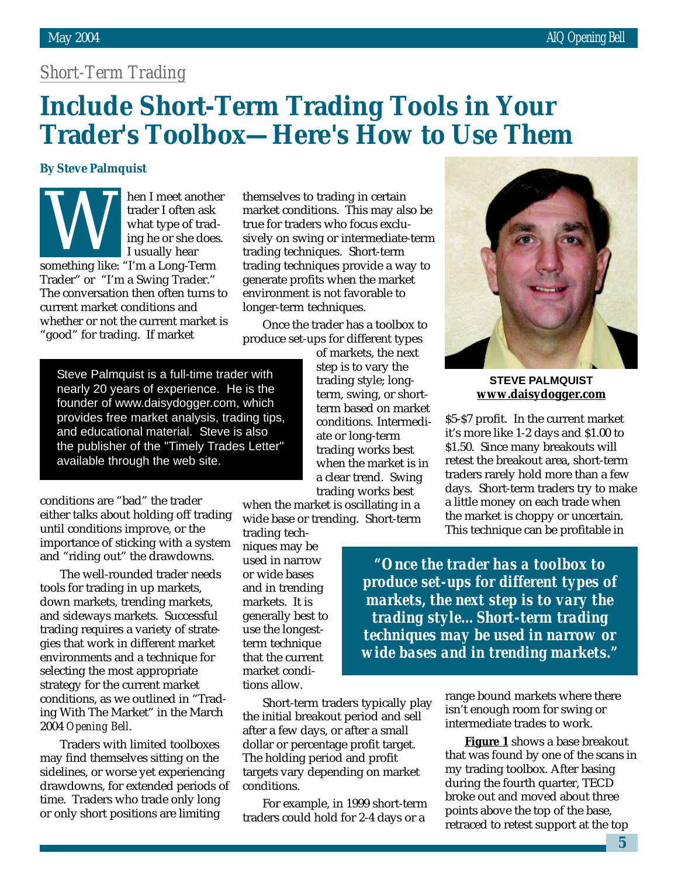## *Short-Term Trading*

## **Include Short-Term Trading Tools in Your Trader's Toolbox—Here's How to Use Them**

#### **By Steve Palmquist**

hen I meet another trader I often ask what type of trading he or she does. I usually hear something like: "I'm a Long-Term Trader" or "I'm a Swing Trader." The conversation then often turns to current market conditions and whether or not the current market is "good" for trading. If market

themselves to trading in certain market conditions. This may also be true for traders who focus exclusively on swing or intermediate-term trading techniques. Short-term trading techniques provide a way to generate profits when the market environment is not favorable to longer-term techniques.

Once the trader has a toolbox to produce set-ups for different types

Steve Palmquist is a full-time trader with nearly 20 years of experience. He is the founder of www.daisydogger.com, which provides free market analysis, trading tips, and educational material. Steve is also the publisher of the "Timely Trades Letter" available through the web site.

conditions are "bad" the trader either talks about holding off trading until conditions improve, or the importance of sticking with a system and "riding out" the drawdowns.

The well-rounded trader needs tools for trading in up markets, down markets, trending markets, and sideways markets. Successful trading requires a variety of strategies that work in different market environments and a technique for selecting the most appropriate strategy for the current market conditions, as we outlined in "Trading With The Market" in the March 2004 *Opening Bell*.

Traders with limited toolboxes may find themselves sitting on the sidelines, or worse yet experiencing drawdowns, for extended periods of time. Traders who trade only long or only short positions are limiting

of markets, the next step is to vary the trading style; longterm, swing, or shortterm based on market conditions. Intermediate or long-term trading works best when the market is in a clear trend. Swing trading works best

when the market is oscillating in a wide base or trending. Short-term

trading techniques may be used in narrow or wide bases and in trending markets. It is generally best to use the longestterm technique that the current market conditions allow.

Short-term traders typically play the initial breakout period and sell after a few days, or after a small dollar or percentage profit target. The holding period and profit targets vary depending on market conditions.

For example, in 1999 short-term traders could hold for 2-4 days or a



**STEVE PALMQUIST www.daisydogger.com**

\$5-\$7 profit. In the current market it's more like 1-2 days and \$1.00 to \$1.50. Since many breakouts will retest the breakout area, short-term traders rarely hold more than a few days. Short-term traders try to make a little money on each trade when the market is choppy or uncertain. This technique can be profitable in

*"Once the trader has a toolbox to produce set-ups for different types of markets, the next step is to vary the trading style…Short-term trading techniques may be used in narrow or wide bases and in trending markets."*

> range bound markets where there isn't enough room for swing or intermediate trades to work.

**Figure 1** shows a base breakout that was found by one of the scans in my trading toolbox. After basing during the fourth quarter, TECD broke out and moved about three points above the top of the base, retraced to retest support at the top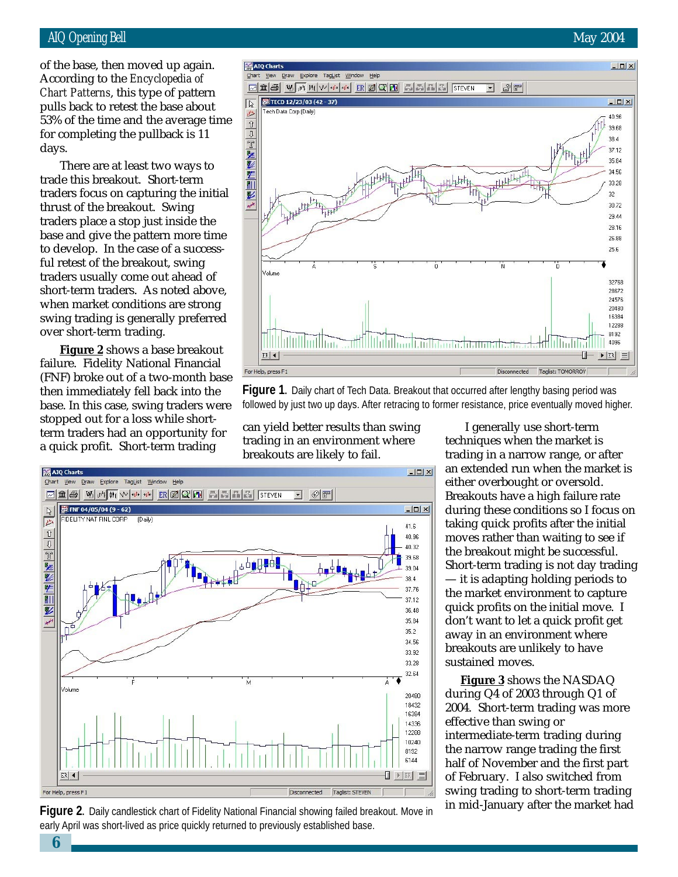#### AIQ Opening Bell May 2004

pulls back to retest the base about of the base, then moved up again. According to the *Encyclopedia of Chart Patterns*, this type of pattern 53% of the time and the average time for completing the pullback is 11 days.

There are at least two ways to trade this breakout. Short-term traders focus on capturing the initial thrust of the breakout. Swing traders place a stop just inside the base and give the pattern more time to develop. In the case of a successful retest of the breakout, swing traders usually come out ahead of short-term traders. As noted above, when market conditions are strong swing trading is generally preferred over short-term trading.

**Figure 2** shows a base breakout failure. Fidelity National Financial (FNF) broke out of a two-month base then immediately fell back into the base. In this case, swing traders were stopped out for a loss while shortterm traders had an opportunity for a quick profit. Short-term trading





can yield better results than swing trading in an environment where breakouts are likely to fail.



**Figure 2.** Daily candlestick chart of Fidelity National Financial showing failed breakout. Move in early April was short-lived as price quickly returned to previously established base.

I generally use short-term techniques when the market is trading in a narrow range, or after an extended run when the market is either overbought or oversold. Breakouts have a high failure rate during these conditions so I focus on taking quick profits after the initial moves rather than waiting to see if the breakout might be successful. Short-term trading is not day trading — it is adapting holding periods to the market environment to capture quick profits on the initial move. I don't want to let a quick profit get away in an environment where breakouts are unlikely to have sustained moves.

**Figure 3** shows the NASDAQ during Q4 of 2003 through Q1 of 2004. Short-term trading was more effective than swing or intermediate-term trading during the narrow range trading the first half of November and the first part of February. I also switched from swing trading to short-term trading in mid-January after the market had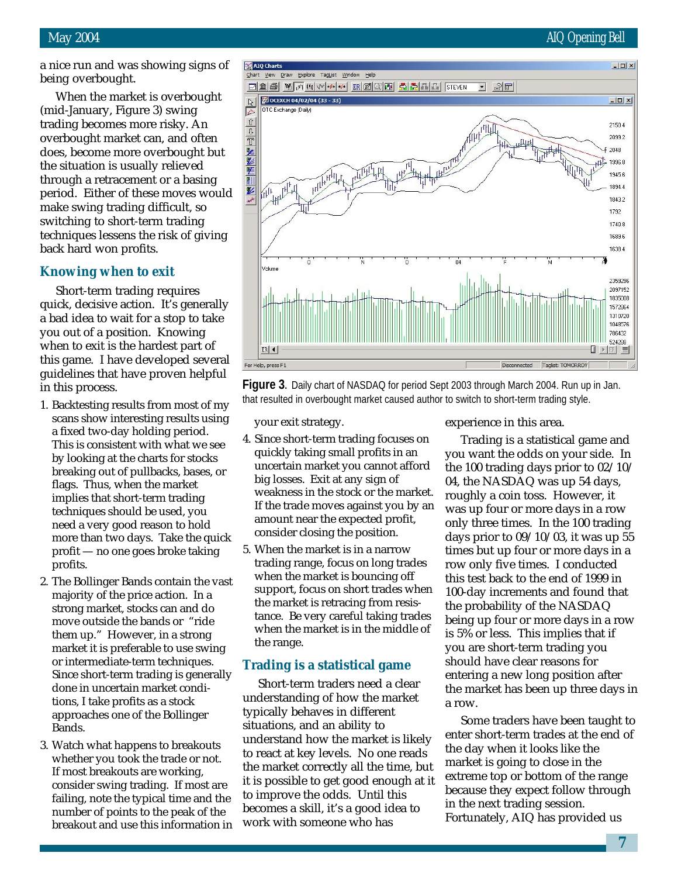a nice run and was showing signs of being overbought.

When the market is overbought (mid-January, Figure 3) swing trading becomes more risky. An overbought market can, and often does, become more overbought but the situation is usually relieved through a retracement or a basing period. Either of these moves would make swing trading difficult, so switching to short-term trading techniques lessens the risk of giving back hard won profits.

#### **Knowing when to exit**

Short-term trading requires quick, decisive action. It's generally a bad idea to wait for a stop to take you out of a position. Knowing when to exit is the hardest part of this game. I have developed several guidelines that have proven helpful in this process.

- 1. Backtesting results from most of my scans show interesting results using a fixed two-day holding period. This is consistent with what we see by looking at the charts for stocks breaking out of pullbacks, bases, or flags. Thus, when the market implies that short-term trading techniques should be used, you need a very good reason to hold more than two days. Take the quick profit — no one goes broke taking profits.
- 2. The Bollinger Bands contain the vast majority of the price action. In a strong market, stocks can and do move outside the bands or "ride them up." However, in a strong market it is preferable to use swing or intermediate-term techniques. Since short-term trading is generally done in uncertain market conditions, I take profits as a stock approaches one of the Bollinger **Bands**
- 3. Watch what happens to breakouts whether you took the trade or not. If most breakouts are working, consider swing trading. If most are failing, note the typical time and the number of points to the peak of the breakout and use this information in



**Figure 3.** Daily chart of NASDAQ for period Sept 2003 through March 2004. Run up in Jan. that resulted in overbought market caused author to switch to short-term trading style.

your exit strategy.

- 4. Since short-term trading focuses on quickly taking small profits in an uncertain market you cannot afford big losses. Exit at any sign of weakness in the stock or the market. If the trade moves against you by an amount near the expected profit, consider closing the position.
- 5. When the market is in a narrow trading range, focus on long trades when the market is bouncing off support, focus on short trades when the market is retracing from resistance. Be very careful taking trades when the market is in the middle of the range.

#### **Trading is a statistical game**

Short-term traders need a clear understanding of how the market typically behaves in different situations, and an ability to understand how the market is likely to react at key levels. No one reads the market correctly all the time, but it is possible to get good enough at it to improve the odds. Until this becomes a skill, it's a good idea to work with someone who has

experience in this area.

Trading is a statistical game and you want the odds on your side. In the 100 trading days prior to 02/10/ 04, the NASDAQ was up 54 days, roughly a coin toss. However, it was up four or more days in a row only three times. In the 100 trading days prior to  $09/10/03$ , it was up 55 times but up four or more days in a row only five times. I conducted this test back to the end of 1999 in 100-day increments and found that the probability of the NASDAQ being up four or more days in a row is 5% or less. This implies that if you are short-term trading you should have clear reasons for entering a new long position after the market has been up three days in a row.

Some traders have been taught to enter short-term trades at the end of the day when it looks like the market is going to close in the extreme top or bottom of the range because they expect follow through in the next trading session. Fortunately, AIQ has provided us

**7**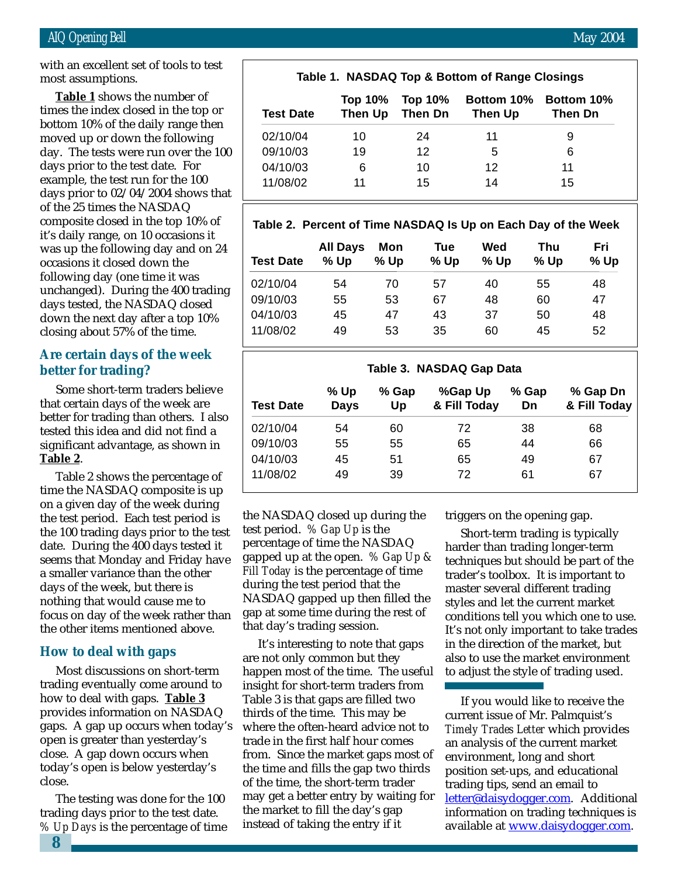with an excellent set of tools to test most assumptions.

times the index closed in the top or **Table 1** shows the number of bottom 10% of the daily range then moved up or down the following day. The tests were run over the 100 days prior to the test date. For example, the test run for the 100 days prior to 02/04/2004 shows that of the 25 times the NASDAQ composite closed in the top 10% of it's daily range, on 10 occasions it was up the following day and on 24 occasions it closed down the following day (one time it was unchanged). During the 400 trading days tested, the NASDAQ closed down the next day after a top 10% closing about 57% of the time.

#### **Are certain days of the week better for trading?**

Some short-term traders believe that certain days of the week are better for trading than others. I also tested this idea and did not find a significant advantage, as shown in **Table 2**.

Table 2 shows the percentage of time the NASDAQ composite is up on a given day of the week during the test period. Each test period is the 100 trading days prior to the test date. During the 400 days tested it seems that Monday and Friday have a smaller variance than the other days of the week, but there is nothing that would cause me to focus on day of the week rather than the other items mentioned above.

#### **How to deal with gaps**

Most discussions on short-term trading eventually come around to how to deal with gaps. **Table 3** provides information on NASDAQ gaps. A gap up occurs when today's open is greater than yesterday's close. A gap down occurs when today's open is below yesterday's close.

The testing was done for the 100 trading days prior to the test date. *% Up Days* is the percentage of time

#### **Table 1. NASDAQ Top & Bottom of Range Closings**

| <b>Test Date</b> | Top 10%<br>Then Up | Top 10%<br>Then Dn | <b>Bottom 10%</b><br>Then Up | <b>Bottom 10%</b><br>Then Dn |  |
|------------------|--------------------|--------------------|------------------------------|------------------------------|--|
| 02/10/04         | 10                 | 24                 | 11                           | 9                            |  |
| 09/10/03         | 19                 | 12                 | 5                            | 6                            |  |
| 04/10/03         | 6                  | 10                 | 12                           | 11                           |  |
| 11/08/02         | 11                 | 15                 | 14                           | 15                           |  |

#### **Table 2. Percent of Time NASDAQ Is Up on Each Day of the Week**

| <b>Test Date</b> | <b>All Days</b><br>$%$ Up | Mon<br>% Up | Tue<br>% Up | Wed<br>$%$ Up | Thu<br>$%$ Up | Fri<br>% Up |
|------------------|---------------------------|-------------|-------------|---------------|---------------|-------------|
| 02/10/04         | 54                        | 70          | 57          | 40            | 55            | 48          |
| 09/10/03         | 55                        | 53          | 67          | 48            | 60            | 47          |
| 04/10/03         | 45                        | 47          | 43          | 37            | 50            | 48          |
| 11/08/02         | 49                        | 53          | 35          | 60            | 45            | 52          |

| Table 3. NASDAQ Gap Data |                     |             |                         |             |                          |  |  |  |
|--------------------------|---------------------|-------------|-------------------------|-------------|--------------------------|--|--|--|
| <b>Test Date</b>         | % Up<br><b>Days</b> | % Gap<br>Up | %Gap Up<br>& Fill Today | % Gap<br>Dn | % Gap Dn<br>& Fill Today |  |  |  |
| 02/10/04                 | 54                  | 60          | 72                      | 38          | 68                       |  |  |  |
| 09/10/03                 | 55                  | 55          | 65                      | 44          | 66                       |  |  |  |
| 04/10/03                 | 45                  | 51          | 65                      | 49          | 67                       |  |  |  |
| 11/08/02                 | 49                  | 39          | 72                      | 61          | 67                       |  |  |  |

the NASDAQ closed up during the test period. *% Gap Up* is the percentage of time the NASDAQ gapped up at the open. *% Gap Up & Fill Today* is the percentage of time during the test period that the NASDAQ gapped up then filled the gap at some time during the rest of that day's trading session.

It's interesting to note that gaps are not only common but they happen most of the time. The useful insight for short-term traders from Table 3 is that gaps are filled two thirds of the time. This may be where the often-heard advice not to trade in the first half hour comes from. Since the market gaps most of the time and fills the gap two thirds of the time, the short-term trader may get a better entry by waiting for the market to fill the day's gap instead of taking the entry if it

triggers on the opening gap.

Short-term trading is typically harder than trading longer-term techniques but should be part of the trader's toolbox. It is important to master several different trading styles and let the current market conditions tell you which one to use. It's not only important to take trades in the direction of the market, but also to use the market environment to adjust the style of trading used.

If you would like to receive the current issue of Mr. Palmquist's *Timely Trades Letter* which provides an analysis of the current market environment, long and short position set-ups, and educational trading tips, send an email to letter@daisydogger.com. Additional information on trading techniques is available at www.daisydogger.com.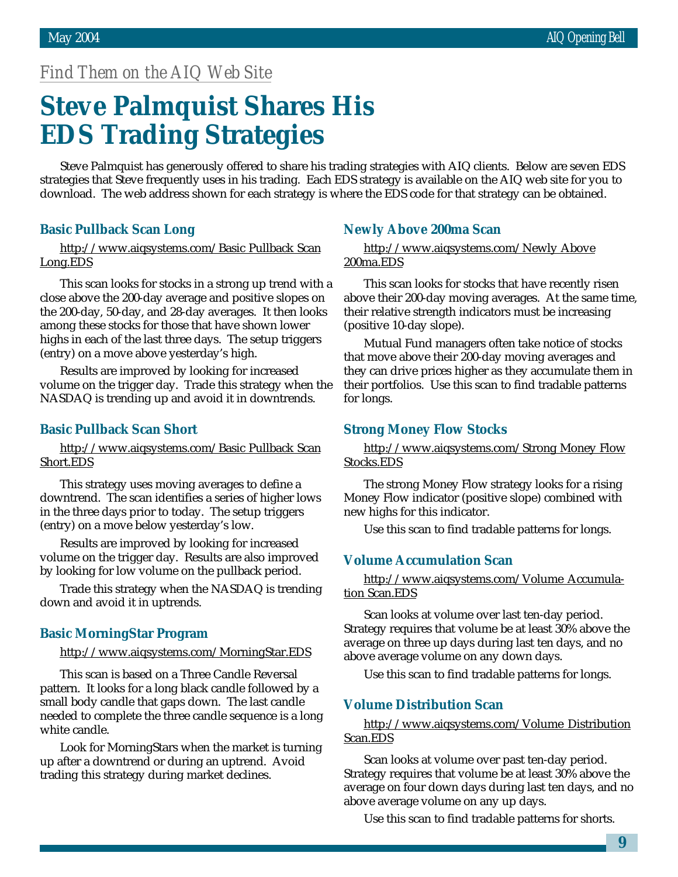#### *Find Them on the AIQ Web Site*

## **Steve Palmquist Shares His EDS Trading Strategies**

Steve Palmquist has generously offered to share his trading strategies with AIQ clients. Below are seven EDS strategies that Steve frequently uses in his trading. Each EDS strategy is available on the AIQ web site for you to download. The web address shown for each strategy is where the EDS code for that strategy can be obtained.

#### **Basic Pullback Scan Long**

http://www.aiqsystems.com/Basic Pullback Scan Long.EDS

This scan looks for stocks in a strong up trend with a close above the 200-day average and positive slopes on the 200-day, 50-day, and 28-day averages. It then looks among these stocks for those that have shown lower highs in each of the last three days. The setup triggers (entry) on a move above yesterday's high.

Results are improved by looking for increased volume on the trigger day. Trade this strategy when the NASDAQ is trending up and avoid it in downtrends.

#### **Basic Pullback Scan Short**

http://www.aiqsystems.com/Basic Pullback Scan Short.EDS

This strategy uses moving averages to define a downtrend. The scan identifies a series of higher lows in the three days prior to today. The setup triggers (entry) on a move below yesterday's low.

Results are improved by looking for increased volume on the trigger day. Results are also improved by looking for low volume on the pullback period.

Trade this strategy when the NASDAQ is trending down and avoid it in uptrends.

#### **Basic MorningStar Program**

#### http://www.aiqsystems.com/MorningStar.EDS

This scan is based on a Three Candle Reversal pattern. It looks for a long black candle followed by a small body candle that gaps down. The last candle needed to complete the three candle sequence is a long white candle.

Look for MorningStars when the market is turning up after a downtrend or during an uptrend. Avoid trading this strategy during market declines.

#### **Newly Above 200ma Scan**

http://www.aiqsystems.com/Newly Above 200ma.EDS

This scan looks for stocks that have recently risen above their 200-day moving averages. At the same time, their relative strength indicators must be increasing (positive 10-day slope).

Mutual Fund managers often take notice of stocks that move above their 200-day moving averages and they can drive prices higher as they accumulate them in their portfolios. Use this scan to find tradable patterns for longs.

#### **Strong Money Flow Stocks**

http://www.aiqsystems.com/Strong Money Flow Stocks.EDS

The strong Money Flow strategy looks for a rising Money Flow indicator (positive slope) combined with new highs for this indicator.

Use this scan to find tradable patterns for longs.

#### **Volume Accumulation Scan**

http://www.aiqsystems.com/Volume Accumulation Scan.EDS

Scan looks at volume over last ten-day period. Strategy requires that volume be at least 30% above the average on three up days during last ten days, and no above average volume on any down days.

Use this scan to find tradable patterns for longs.

#### **Volume Distribution Scan**

http://www.aiqsystems.com/Volume Distribution Scan.EDS

Scan looks at volume over past ten-day period. Strategy requires that volume be at least 30% above the average on four down days during last ten days, and no above average volume on any up days.

Use this scan to find tradable patterns for shorts.

**9**